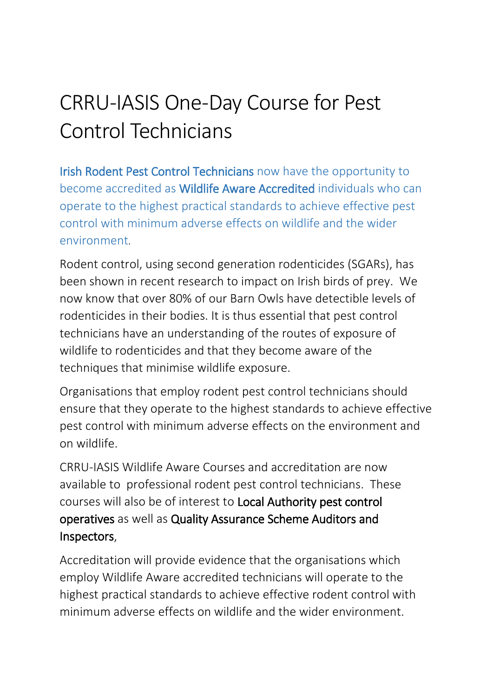## CRRU-IASIS One-Day Course for Pest Control Technicians

Irish Rodent Pest Control Technicians now have the opportunity to become accredited as Wildlife Aware Accredited individuals who can operate to the highest practical standards to achieve effective pest control with minimum adverse effects on wildlife and the wider environment.

Rodent control, using second generation rodenticides (SGARs), has been shown in recent research to impact on Irish birds of prey. We now know that over 80% of our Barn Owls have detectible levels of rodenticides in their bodies. It is thus essential that pest control technicians have an understanding of the routes of exposure of wildlife to rodenticides and that they become aware of the techniques that minimise wildlife exposure.

Organisations that employ rodent pest control technicians should ensure that they operate to the highest standards to achieve effective pest control with minimum adverse effects on the environment and on wildlife.

CRRU-IASIS Wildlife Aware Courses and accreditation are now available to professional rodent pest control technicians. These courses will also be of interest to Local Authority pest control operatives as well as Quality Assurance Scheme Auditors and Inspectors,

Accreditation will provide evidence that the organisations which employ Wildlife Aware accredited technicians will operate to the highest practical standards to achieve effective rodent control with minimum adverse effects on wildlife and the wider environment.